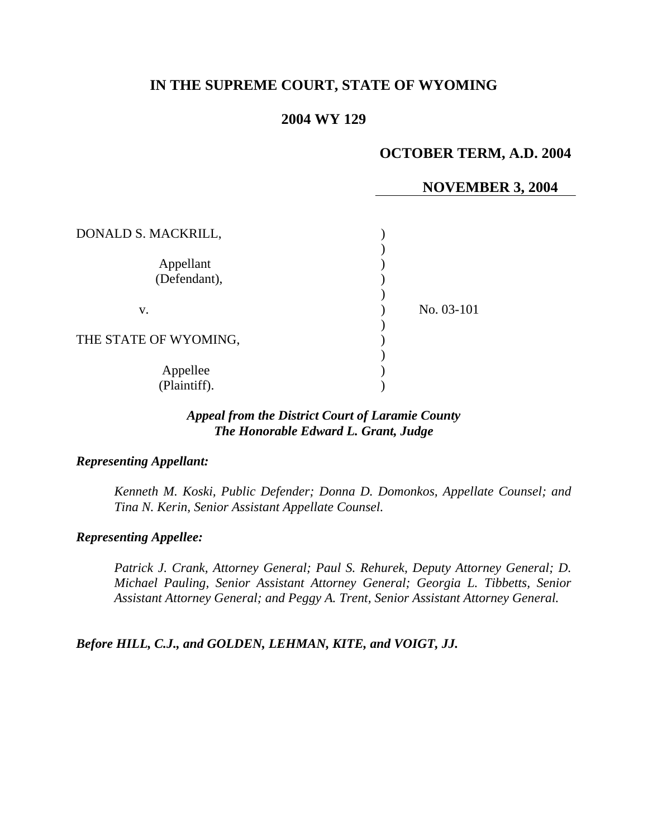# **IN THE SUPREME COURT, STATE OF WYOMING**

### **2004 WY 129**

# **OCTOBER TERM, A.D. 2004**

## **NOVEMBER 3, 2004**

| DONALD S. MACKRILL,       |            |
|---------------------------|------------|
| Appellant<br>(Defendant), |            |
| v.                        | No. 03-101 |
| THE STATE OF WYOMING,     |            |
| Appellee<br>(Plaintiff).  |            |

## *Appeal from the District Court of Laramie County The Honorable Edward L. Grant, Judge*

#### *Representing Appellant:*

*Kenneth M. Koski, Public Defender; Donna D. Domonkos, Appellate Counsel; and Tina N. Kerin, Senior Assistant Appellate Counsel.* 

### *Representing Appellee:*

*Patrick J. Crank, Attorney General; Paul S. Rehurek, Deputy Attorney General; D. Michael Pauling, Senior Assistant Attorney General; Georgia L. Tibbetts, Senior Assistant Attorney General; and Peggy A. Trent, Senior Assistant Attorney General.* 

*Before HILL, C.J., and GOLDEN, LEHMAN, KITE, and VOIGT, JJ.*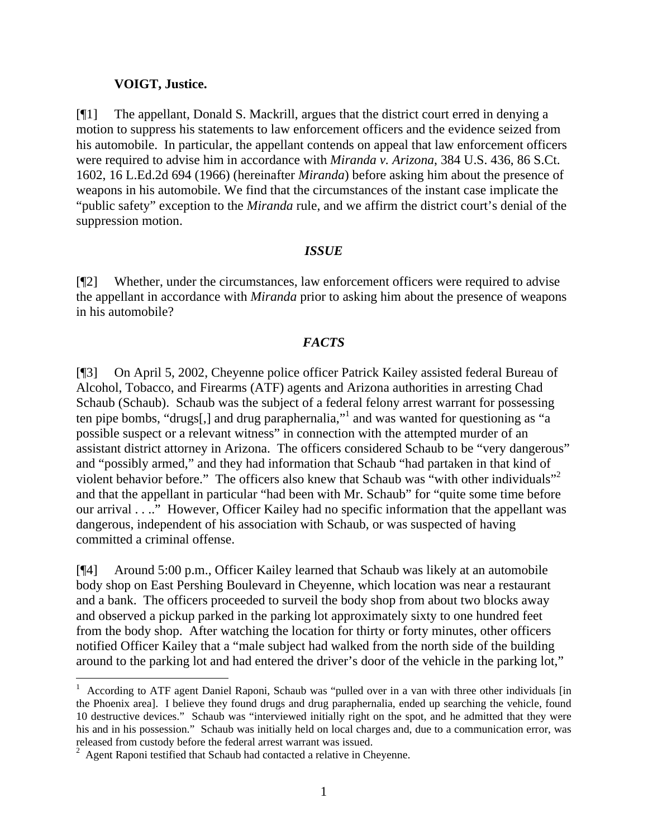#### **VOIGT, Justice.**

[¶1] The appellant, Donald S. Mackrill, argues that the district court erred in denying a motion to suppress his statements to law enforcement officers and the evidence seized from his automobile. In particular, the appellant contends on appeal that law enforcement officers were required to advise him in accordance with *Miranda v. Arizona*, 384 U.S. 436, 86 S.Ct. 1602, 16 L.Ed.2d 694 (1966) (hereinafter *Miranda*) before asking him about the presence of weapons in his automobile. We find that the circumstances of the instant case implicate the "public safety" exception to the *Miranda* rule, and we affirm the district court's denial of the suppression motion.

#### *ISSUE*

[¶2] Whether, under the circumstances, law enforcement officers were required to advise the appellant in accordance with *Miranda* prior to asking him about the presence of weapons in his automobile?

#### *FACTS*

[¶3] On April 5, 2002, Cheyenne police officer Patrick Kailey assisted federal Bureau of Alcohol, Tobacco, and Firearms (ATF) agents and Arizona authorities in arresting Chad Schaub (Schaub). Schaub was the subject of a federal felony arrest warrant for possessing ten pipe bombs, "drugs[,] and drug paraphernalia," and was wanted for questioning as "a possible suspect or a relevant witness" in connection with the attempted murder of an assistant district attorney in Arizona. The officers considered Schaub to be "very dangerous" and "possibly armed," and they had information that Schaub "had partaken in that kind of violent behavior before." The officers also knew that Schaub was "with other individuals"2 and that the appellant in particular "had been with Mr. Schaub" for "quite some time before our arrival . . .." However, Officer Kailey had no specific information that the appellant was dangerous, independent of his association with Schaub, or was suspected of having committed a criminal offense.

[¶4] Around 5:00 p.m., Officer Kailey learned that Schaub was likely at an automobile body shop on East Pershing Boulevard in Cheyenne, which location was near a restaurant and a bank. The officers proceeded to surveil the body shop from about two blocks away and observed a pickup parked in the parking lot approximately sixty to one hundred feet from the body shop. After watching the location for thirty or forty minutes, other officers notified Officer Kailey that a "male subject had walked from the north side of the building around to the parking lot and had entered the driver's door of the vehicle in the parking lot,"

<sup>&</sup>lt;sup>1</sup> According to ATF agent Daniel Raponi, Schaub was "pulled over in a van with three other individuals [in the Phoenix area]. I believe they found drugs and drug paraphernalia, ended up searching the vehicle, found 10 destructive devices." Schaub was "interviewed initially right on the spot, and he admitted that they were his and in his possession." Schaub was initially held on local charges and, due to a communication error, was released from custody before the federal arrest warrant was issued.<br> $2 \text{ A cont}$  Bapani testified that Schoub had contacted a relative in Gh

Agent Raponi testified that Schaub had contacted a relative in Cheyenne.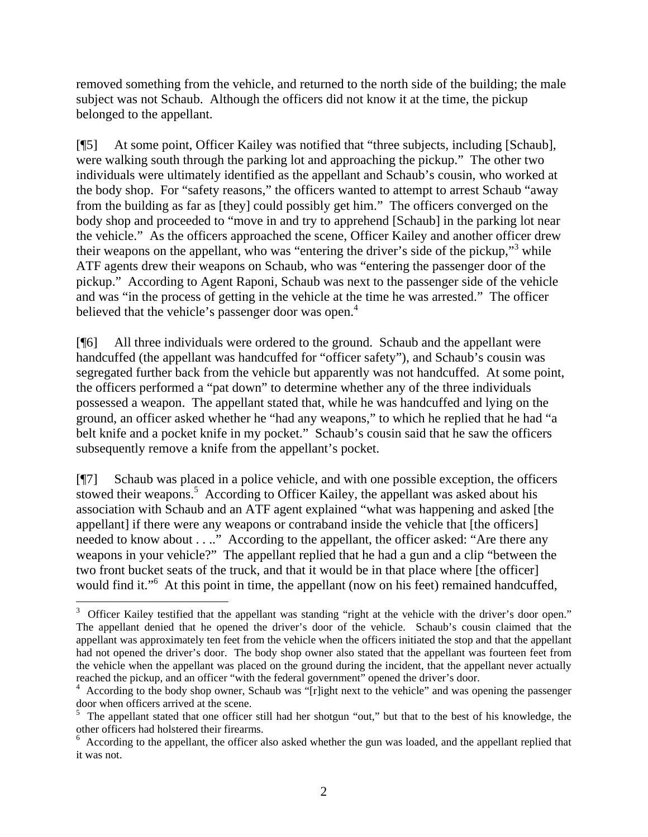removed something from the vehicle, and returned to the north side of the building; the male subject was not Schaub. Although the officers did not know it at the time, the pickup belonged to the appellant.

[¶5] At some point, Officer Kailey was notified that "three subjects, including [Schaub], were walking south through the parking lot and approaching the pickup." The other two individuals were ultimately identified as the appellant and Schaub's cousin, who worked at the body shop. For "safety reasons," the officers wanted to attempt to arrest Schaub "away from the building as far as [they] could possibly get him." The officers converged on the body shop and proceeded to "move in and try to apprehend [Schaub] in the parking lot near the vehicle." As the officers approached the scene, Officer Kailey and another officer drew their weapons on the appellant, who was "entering the driver's side of the pickup,"<sup>3</sup> while ATF agents drew their weapons on Schaub, who was "entering the passenger door of the pickup." According to Agent Raponi, Schaub was next to the passenger side of the vehicle and was "in the process of getting in the vehicle at the time he was arrested." The officer believed that the vehicle's passenger door was open.<sup>4</sup>

[¶6] All three individuals were ordered to the ground. Schaub and the appellant were handcuffed (the appellant was handcuffed for "officer safety"), and Schaub's cousin was segregated further back from the vehicle but apparently was not handcuffed. At some point, the officers performed a "pat down" to determine whether any of the three individuals possessed a weapon. The appellant stated that, while he was handcuffed and lying on the ground, an officer asked whether he "had any weapons," to which he replied that he had "a belt knife and a pocket knife in my pocket." Schaub's cousin said that he saw the officers subsequently remove a knife from the appellant's pocket.

[¶7] Schaub was placed in a police vehicle, and with one possible exception, the officers stowed their weapons.<sup>5</sup> According to Officer Kailey, the appellant was asked about his association with Schaub and an ATF agent explained "what was happening and asked [the appellant] if there were any weapons or contraband inside the vehicle that [the officers] needed to know about . . .." According to the appellant, the officer asked: "Are there any weapons in your vehicle?" The appellant replied that he had a gun and a clip "between the two front bucket seats of the truck, and that it would be in that place where [the officer] would find it."<sup>6</sup> At this point in time, the appellant (now on his feet) remained handcuffed,

  $3$  Officer Kailey testified that the appellant was standing "right at the vehicle with the driver's door open." The appellant denied that he opened the driver's door of the vehicle. Schaub's cousin claimed that the appellant was approximately ten feet from the vehicle when the officers initiated the stop and that the appellant had not opened the driver's door. The body shop owner also stated that the appellant was fourteen feet from the vehicle when the appellant was placed on the ground during the incident, that the appellant never actually reached the pickup, and an officer "with the federal government" opened the driver's door.

<sup>&</sup>lt;sup>4</sup> According to the body shop owner, Schaub was "[r]ight next to the vehicle" and was opening the passenger door when officers arrived at the scene.

 $\frac{5}{10}$ . The appellant stated that one officer still had her shotgun "out," but that to the best of his knowledge, the other officers had holstered their firearms. <sup>6</sup>

<sup>&</sup>lt;sup>6</sup> According to the appellant, the officer also asked whether the gun was loaded, and the appellant replied that it was not.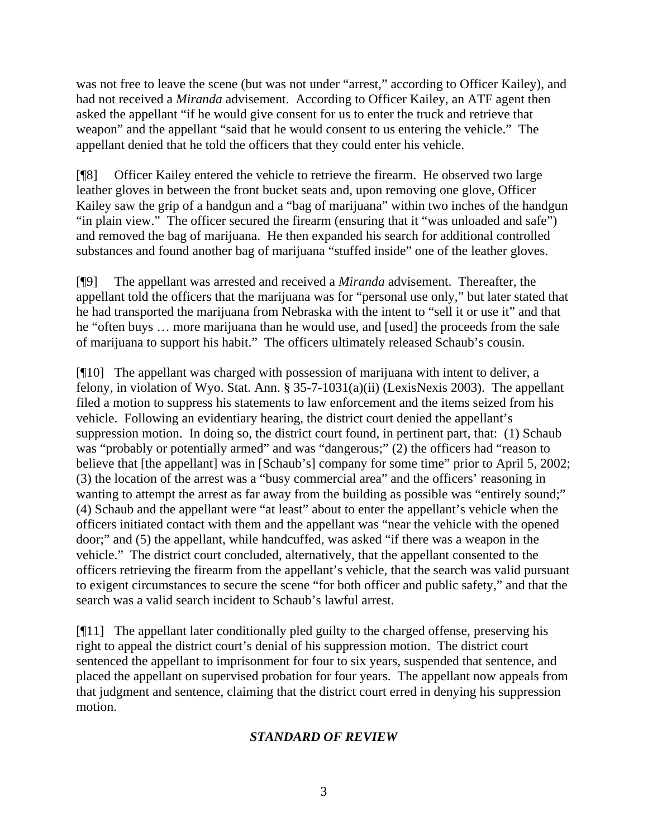was not free to leave the scene (but was not under "arrest," according to Officer Kailey), and had not received a *Miranda* advisement. According to Officer Kailey, an ATF agent then asked the appellant "if he would give consent for us to enter the truck and retrieve that weapon" and the appellant "said that he would consent to us entering the vehicle." The appellant denied that he told the officers that they could enter his vehicle.

[¶8] Officer Kailey entered the vehicle to retrieve the firearm. He observed two large leather gloves in between the front bucket seats and, upon removing one glove, Officer Kailey saw the grip of a handgun and a "bag of marijuana" within two inches of the handgun "in plain view." The officer secured the firearm (ensuring that it "was unloaded and safe") and removed the bag of marijuana. He then expanded his search for additional controlled substances and found another bag of marijuana "stuffed inside" one of the leather gloves.

[¶9] The appellant was arrested and received a *Miranda* advisement. Thereafter, the appellant told the officers that the marijuana was for "personal use only," but later stated that he had transported the marijuana from Nebraska with the intent to "sell it or use it" and that he "often buys … more marijuana than he would use, and [used] the proceeds from the sale of marijuana to support his habit." The officers ultimately released Schaub's cousin.

[¶10] The appellant was charged with possession of marijuana with intent to deliver, a felony, in violation of Wyo. Stat. Ann. § 35-7-1031(a)(ii) (LexisNexis 2003). The appellant filed a motion to suppress his statements to law enforcement and the items seized from his vehicle. Following an evidentiary hearing, the district court denied the appellant's suppression motion. In doing so, the district court found, in pertinent part, that: (1) Schaub was "probably or potentially armed" and was "dangerous;" (2) the officers had "reason to believe that [the appellant] was in [Schaub's] company for some time" prior to April 5, 2002; (3) the location of the arrest was a "busy commercial area" and the officers' reasoning in wanting to attempt the arrest as far away from the building as possible was "entirely sound;" (4) Schaub and the appellant were "at least" about to enter the appellant's vehicle when the officers initiated contact with them and the appellant was "near the vehicle with the opened door;" and (5) the appellant, while handcuffed, was asked "if there was a weapon in the vehicle." The district court concluded, alternatively, that the appellant consented to the officers retrieving the firearm from the appellant's vehicle, that the search was valid pursuant to exigent circumstances to secure the scene "for both officer and public safety," and that the search was a valid search incident to Schaub's lawful arrest.

[¶11] The appellant later conditionally pled guilty to the charged offense, preserving his right to appeal the district court's denial of his suppression motion. The district court sentenced the appellant to imprisonment for four to six years, suspended that sentence, and placed the appellant on supervised probation for four years. The appellant now appeals from that judgment and sentence, claiming that the district court erred in denying his suppression motion.

# *STANDARD OF REVIEW*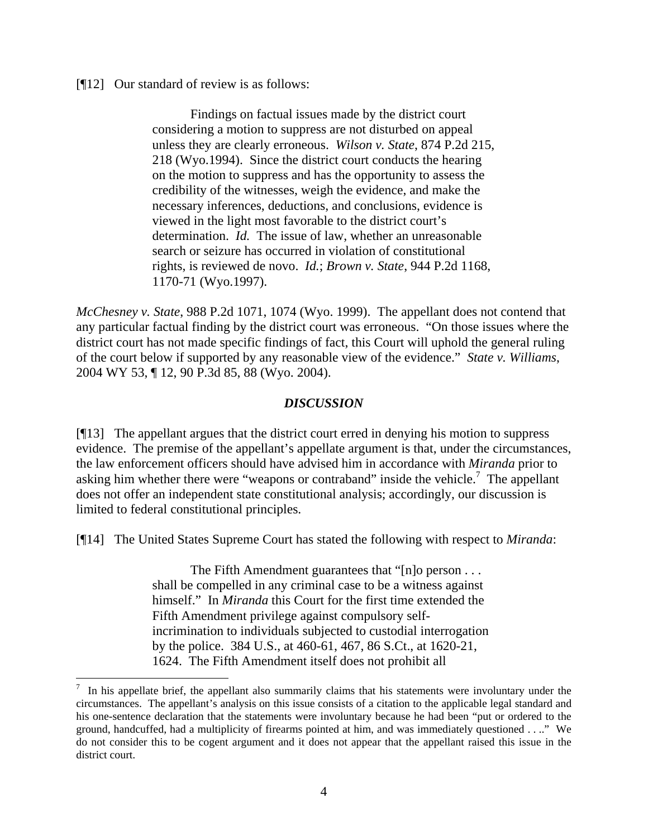#### [¶12] Our standard of review is as follows:

 $\overline{a}$ 

Findings on factual issues made by the district court considering a motion to suppress are not disturbed on appeal unless they are clearly erroneous. *Wilson v. State*, 874 P.2d 215, 218 (Wyo.1994). Since the district court conducts the hearing on the motion to suppress and has the opportunity to assess the credibility of the witnesses, weigh the evidence, and make the necessary inferences, deductions, and conclusions, evidence is viewed in the light most favorable to the district court's determination. *Id.* The issue of law, whether an unreasonable search or seizure has occurred in violation of constitutional rights, is reviewed de novo. *Id.*; *Brown v. State*, 944 P.2d 1168, 1170-71 (Wyo.1997).

*McChesney v. State*, 988 P.2d 1071, 1074 (Wyo. 1999). The appellant does not contend that any particular factual finding by the district court was erroneous. "On those issues where the district court has not made specific findings of fact, this Court will uphold the general ruling of the court below if supported by any reasonable view of the evidence." *State v. Williams*, 2004 WY 53, ¶ 12, 90 P.3d 85, 88 (Wyo. 2004).

#### *DISCUSSION*

[¶13] The appellant argues that the district court erred in denying his motion to suppress evidence. The premise of the appellant's appellate argument is that, under the circumstances, the law enforcement officers should have advised him in accordance with *Miranda* prior to asking him whether there were "weapons or contraband" inside the vehicle.<sup>7</sup> The appellant does not offer an independent state constitutional analysis; accordingly, our discussion is limited to federal constitutional principles.

[¶14] The United States Supreme Court has stated the following with respect to *Miranda*:

The Fifth Amendment guarantees that "[n]o person . . . shall be compelled in any criminal case to be a witness against himself." In *Miranda* this Court for the first time extended the Fifth Amendment privilege against compulsory selfincrimination to individuals subjected to custodial interrogation by the police. 384 U.S., at 460-61, 467, 86 S.Ct., at 1620-21, 1624. The Fifth Amendment itself does not prohibit all

<sup>7</sup> In his appellate brief, the appellant also summarily claims that his statements were involuntary under the circumstances. The appellant's analysis on this issue consists of a citation to the applicable legal standard and his one-sentence declaration that the statements were involuntary because he had been "put or ordered to the ground, handcuffed, had a multiplicity of firearms pointed at him, and was immediately questioned . . .." We do not consider this to be cogent argument and it does not appear that the appellant raised this issue in the district court.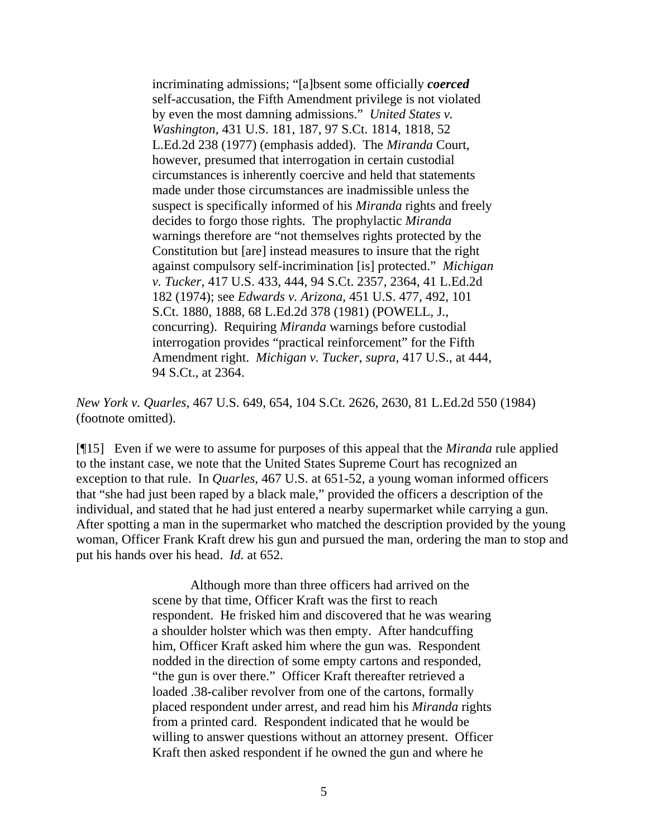incriminating admissions; "[a]bsent some officially *coerced* self-accusation, the Fifth Amendment privilege is not violated by even the most damning admissions." *United States v. Washington*, 431 U.S. 181, 187, 97 S.Ct. 1814, 1818, 52 L.Ed.2d 238 (1977) (emphasis added). The *Miranda* Court, however, presumed that interrogation in certain custodial circumstances is inherently coercive and held that statements made under those circumstances are inadmissible unless the suspect is specifically informed of his *Miranda* rights and freely decides to forgo those rights. The prophylactic *Miranda* warnings therefore are "not themselves rights protected by the Constitution but [are] instead measures to insure that the right against compulsory self-incrimination [is] protected." *Michigan v. Tucker*, 417 U.S. 433, 444, 94 S.Ct. 2357, 2364, 41 L.Ed.2d 182 (1974); see *Edwards v. Arizona*, 451 U.S. 477, 492, 101 S.Ct. 1880, 1888, 68 L.Ed.2d 378 (1981) (POWELL, J., concurring). Requiring *Miranda* warnings before custodial interrogation provides "practical reinforcement" for the Fifth Amendment right. *Michigan v. Tucker*, *supra*, 417 U.S., at 444, 94 S.Ct., at 2364.

*New York v. Quarles*, 467 U.S. 649, 654, 104 S.Ct. 2626, 2630, 81 L.Ed.2d 550 (1984) (footnote omitted).

[¶15] Even if we were to assume for purposes of this appeal that the *Miranda* rule applied to the instant case, we note that the United States Supreme Court has recognized an exception to that rule. In *Quarles*, 467 U.S. at 651-52, a young woman informed officers that "she had just been raped by a black male," provided the officers a description of the individual, and stated that he had just entered a nearby supermarket while carrying a gun. After spotting a man in the supermarket who matched the description provided by the young woman, Officer Frank Kraft drew his gun and pursued the man, ordering the man to stop and put his hands over his head. *Id.* at 652.

> Although more than three officers had arrived on the scene by that time, Officer Kraft was the first to reach respondent. He frisked him and discovered that he was wearing a shoulder holster which was then empty. After handcuffing him, Officer Kraft asked him where the gun was. Respondent nodded in the direction of some empty cartons and responded, "the gun is over there." Officer Kraft thereafter retrieved a loaded .38-caliber revolver from one of the cartons, formally placed respondent under arrest, and read him his *Miranda* rights from a printed card. Respondent indicated that he would be willing to answer questions without an attorney present. Officer Kraft then asked respondent if he owned the gun and where he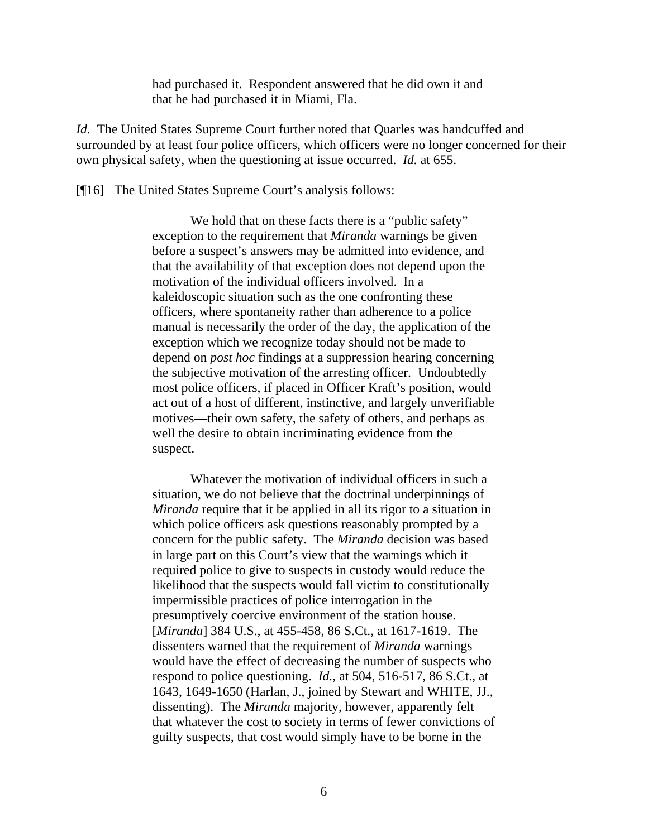had purchased it. Respondent answered that he did own it and that he had purchased it in Miami, Fla.

*Id.* The United States Supreme Court further noted that Quarles was handcuffed and surrounded by at least four police officers, which officers were no longer concerned for their own physical safety, when the questioning at issue occurred. *Id.* at 655.

[¶16] The United States Supreme Court's analysis follows:

We hold that on these facts there is a "public safety" exception to the requirement that *Miranda* warnings be given before a suspect's answers may be admitted into evidence, and that the availability of that exception does not depend upon the motivation of the individual officers involved. In a kaleidoscopic situation such as the one confronting these officers, where spontaneity rather than adherence to a police manual is necessarily the order of the day, the application of the exception which we recognize today should not be made to depend on *post hoc* findings at a suppression hearing concerning the subjective motivation of the arresting officer. Undoubtedly most police officers, if placed in Officer Kraft's position, would act out of a host of different, instinctive, and largely unverifiable motives—their own safety, the safety of others, and perhaps as well the desire to obtain incriminating evidence from the suspect.

Whatever the motivation of individual officers in such a situation, we do not believe that the doctrinal underpinnings of *Miranda* require that it be applied in all its rigor to a situation in which police officers ask questions reasonably prompted by a concern for the public safety. The *Miranda* decision was based in large part on this Court's view that the warnings which it required police to give to suspects in custody would reduce the likelihood that the suspects would fall victim to constitutionally impermissible practices of police interrogation in the presumptively coercive environment of the station house. [*Miranda*] 384 U.S., at 455-458, 86 S.Ct., at 1617-1619. The dissenters warned that the requirement of *Miranda* warnings would have the effect of decreasing the number of suspects who respond to police questioning. *Id.*, at 504, 516-517, 86 S.Ct., at 1643, 1649-1650 (Harlan, J., joined by Stewart and WHITE, JJ., dissenting). The *Miranda* majority, however, apparently felt that whatever the cost to society in terms of fewer convictions of guilty suspects, that cost would simply have to be borne in the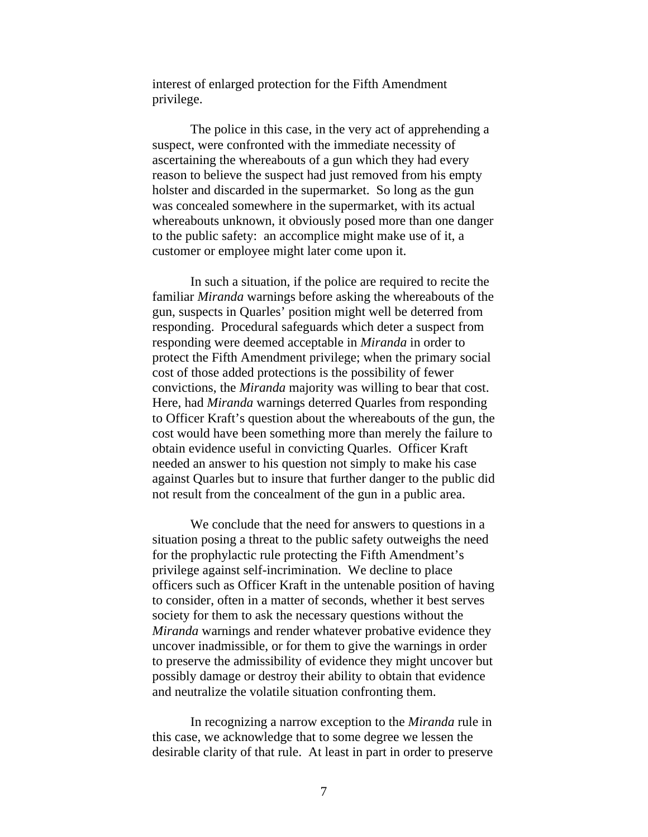interest of enlarged protection for the Fifth Amendment privilege.

The police in this case, in the very act of apprehending a suspect, were confronted with the immediate necessity of ascertaining the whereabouts of a gun which they had every reason to believe the suspect had just removed from his empty holster and discarded in the supermarket. So long as the gun was concealed somewhere in the supermarket, with its actual whereabouts unknown, it obviously posed more than one danger to the public safety: an accomplice might make use of it, a customer or employee might later come upon it.

In such a situation, if the police are required to recite the familiar *Miranda* warnings before asking the whereabouts of the gun, suspects in Quarles' position might well be deterred from responding. Procedural safeguards which deter a suspect from responding were deemed acceptable in *Miranda* in order to protect the Fifth Amendment privilege; when the primary social cost of those added protections is the possibility of fewer convictions, the *Miranda* majority was willing to bear that cost. Here, had *Miranda* warnings deterred Quarles from responding to Officer Kraft's question about the whereabouts of the gun, the cost would have been something more than merely the failure to obtain evidence useful in convicting Quarles. Officer Kraft needed an answer to his question not simply to make his case against Quarles but to insure that further danger to the public did not result from the concealment of the gun in a public area.

We conclude that the need for answers to questions in a situation posing a threat to the public safety outweighs the need for the prophylactic rule protecting the Fifth Amendment's privilege against self-incrimination. We decline to place officers such as Officer Kraft in the untenable position of having to consider, often in a matter of seconds, whether it best serves society for them to ask the necessary questions without the *Miranda* warnings and render whatever probative evidence they uncover inadmissible, or for them to give the warnings in order to preserve the admissibility of evidence they might uncover but possibly damage or destroy their ability to obtain that evidence and neutralize the volatile situation confronting them.

In recognizing a narrow exception to the *Miranda* rule in this case, we acknowledge that to some degree we lessen the desirable clarity of that rule. At least in part in order to preserve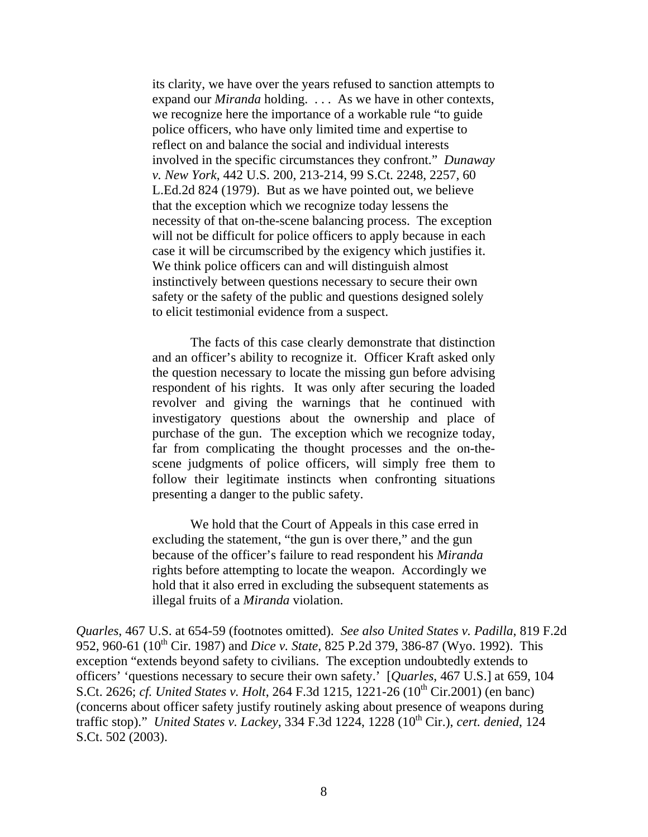its clarity, we have over the years refused to sanction attempts to expand our *Miranda* holding. . . . As we have in other contexts, we recognize here the importance of a workable rule "to guide police officers, who have only limited time and expertise to reflect on and balance the social and individual interests involved in the specific circumstances they confront." *Dunaway v. New York*, 442 U.S. 200, 213-214, 99 S.Ct. 2248, 2257, 60 L.Ed.2d 824 (1979). But as we have pointed out, we believe that the exception which we recognize today lessens the necessity of that on-the-scene balancing process. The exception will not be difficult for police officers to apply because in each case it will be circumscribed by the exigency which justifies it. We think police officers can and will distinguish almost instinctively between questions necessary to secure their own safety or the safety of the public and questions designed solely to elicit testimonial evidence from a suspect.

The facts of this case clearly demonstrate that distinction and an officer's ability to recognize it. Officer Kraft asked only the question necessary to locate the missing gun before advising respondent of his rights. It was only after securing the loaded revolver and giving the warnings that he continued with investigatory questions about the ownership and place of purchase of the gun. The exception which we recognize today, far from complicating the thought processes and the on-thescene judgments of police officers, will simply free them to follow their legitimate instincts when confronting situations presenting a danger to the public safety.

We hold that the Court of Appeals in this case erred in excluding the statement, "the gun is over there," and the gun because of the officer's failure to read respondent his *Miranda* rights before attempting to locate the weapon. Accordingly we hold that it also erred in excluding the subsequent statements as illegal fruits of a *Miranda* violation.

*Quarles*, 467 U.S. at 654-59 (footnotes omitted). *See also United States v. Padilla*, 819 F.2d 952, 960-61 (10<sup>th</sup> Cir. 1987) and *Dice v. State*, 825 P.2d 379, 386-87 (Wyo. 1992). This exception "extends beyond safety to civilians. The exception undoubtedly extends to officers' 'questions necessary to secure their own safety.' [*Quarles*, 467 U.S.] at 659, 104 S.Ct. 2626; *cf. United States v. Holt*, 264 F.3d 1215, 1221-26 (10<sup>th</sup> Cir.2001) (en banc) (concerns about officer safety justify routinely asking about presence of weapons during traffic stop)." *United States v. Lackey*, 334 F.3d 1224, 1228 (10<sup>th</sup> Cir.), *cert. denied*, 124 S.Ct. 502 (2003).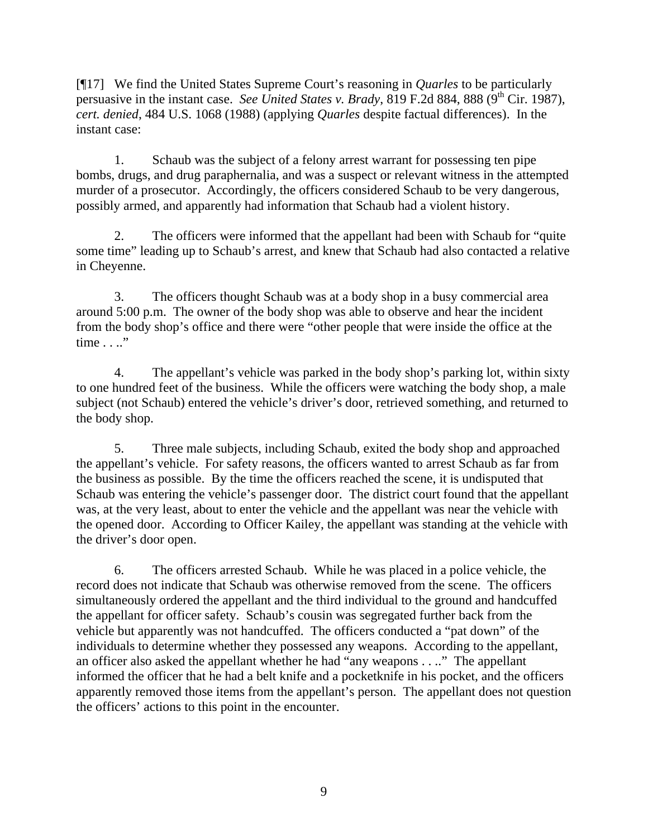[¶17] We find the United States Supreme Court's reasoning in *Quarles* to be particularly persuasive in the instant case. *See United States v. Brady*, 819 F.2d 884, 888 (9<sup>th</sup> Cir. 1987), *cert. denied*, 484 U.S. 1068 (1988) (applying *Quarles* despite factual differences). In the instant case:

1. Schaub was the subject of a felony arrest warrant for possessing ten pipe bombs, drugs, and drug paraphernalia, and was a suspect or relevant witness in the attempted murder of a prosecutor. Accordingly, the officers considered Schaub to be very dangerous, possibly armed, and apparently had information that Schaub had a violent history.

2. The officers were informed that the appellant had been with Schaub for "quite some time" leading up to Schaub's arrest, and knew that Schaub had also contacted a relative in Cheyenne.

3. The officers thought Schaub was at a body shop in a busy commercial area around 5:00 p.m. The owner of the body shop was able to observe and hear the incident from the body shop's office and there were "other people that were inside the office at the time . . .."

4. The appellant's vehicle was parked in the body shop's parking lot, within sixty to one hundred feet of the business. While the officers were watching the body shop, a male subject (not Schaub) entered the vehicle's driver's door, retrieved something, and returned to the body shop.

5. Three male subjects, including Schaub, exited the body shop and approached the appellant's vehicle. For safety reasons, the officers wanted to arrest Schaub as far from the business as possible. By the time the officers reached the scene, it is undisputed that Schaub was entering the vehicle's passenger door. The district court found that the appellant was, at the very least, about to enter the vehicle and the appellant was near the vehicle with the opened door. According to Officer Kailey, the appellant was standing at the vehicle with the driver's door open.

6. The officers arrested Schaub. While he was placed in a police vehicle, the record does not indicate that Schaub was otherwise removed from the scene. The officers simultaneously ordered the appellant and the third individual to the ground and handcuffed the appellant for officer safety. Schaub's cousin was segregated further back from the vehicle but apparently was not handcuffed. The officers conducted a "pat down" of the individuals to determine whether they possessed any weapons. According to the appellant, an officer also asked the appellant whether he had "any weapons . . .." The appellant informed the officer that he had a belt knife and a pocketknife in his pocket, and the officers apparently removed those items from the appellant's person. The appellant does not question the officers' actions to this point in the encounter.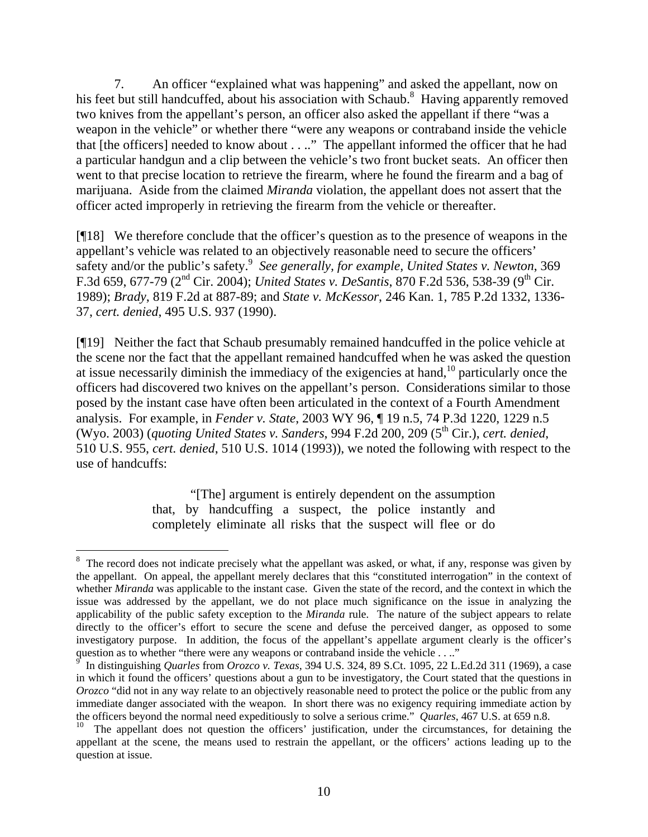7. An officer "explained what was happening" and asked the appellant, now on his feet but still handcuffed, about his association with Schaub.<sup>8</sup> Having apparently removed two knives from the appellant's person, an officer also asked the appellant if there "was a weapon in the vehicle" or whether there "were any weapons or contraband inside the vehicle that [the officers] needed to know about . . .." The appellant informed the officer that he had a particular handgun and a clip between the vehicle's two front bucket seats. An officer then went to that precise location to retrieve the firearm, where he found the firearm and a bag of marijuana. Aside from the claimed *Miranda* violation, the appellant does not assert that the officer acted improperly in retrieving the firearm from the vehicle or thereafter.

[¶18] We therefore conclude that the officer's question as to the presence of weapons in the appellant's vehicle was related to an objectively reasonable need to secure the officers' safety and/or the public's safety.<sup>9</sup> See generally, for example, United States v. Newton, 369 F.3d 659, 677-79 (2nd Cir. 2004); *United States v. DeSantis*, 870 F.2d 536, 538-39 (9th Cir. 1989); *Brady*, 819 F.2d at 887-89; and *State v. McKessor*, 246 Kan. 1, 785 P.2d 1332, 1336- 37, *cert. denied*, 495 U.S. 937 (1990).

[¶19] Neither the fact that Schaub presumably remained handcuffed in the police vehicle at the scene nor the fact that the appellant remained handcuffed when he was asked the question at issue necessarily diminish the immediacy of the exigencies at hand,<sup>10</sup> particularly once the officers had discovered two knives on the appellant's person. Considerations similar to those posed by the instant case have often been articulated in the context of a Fourth Amendment analysis. For example, in *Fender v. State*, 2003 WY 96, ¶ 19 n.5, 74 P.3d 1220, 1229 n.5 (Wyo. 2003) (*quoting United States v. Sanders*, 994 F.2d 200, 209 (5th Cir.), *cert. denied*, 510 U.S. 955, *cert. denied*, 510 U.S. 1014 (1993)), we noted the following with respect to the use of handcuffs:

> "[The] argument is entirely dependent on the assumption that, by handcuffing a suspect, the police instantly and completely eliminate all risks that the suspect will flee or do

<sup>&</sup>lt;sup>8</sup> The record does not indicate precisely what the appellant was asked, or what, if any, response was given by the appellant. On appeal, the appellant merely declares that this "constituted interrogation" in the context of whether *Miranda* was applicable to the instant case. Given the state of the record, and the context in which the issue was addressed by the appellant, we do not place much significance on the issue in analyzing the applicability of the public safety exception to the *Miranda* rule. The nature of the subject appears to relate directly to the officer's effort to secure the scene and defuse the perceived danger, as opposed to some investigatory purpose. In addition, the focus of the appellant's appellate argument clearly is the officer's question as to whether "there were any weapons or contraband inside the vehicle . . .."<br><sup>9</sup> In distinguishing *Quarles* from *Orozco v. Texas*, 394 U.S. 324, 89 S.Ct. 1095, 22 L.Ed.2d 311 (1969), a case

in which it found the officers' questions about a gun to be investigatory, the Court stated that the questions in *Orozco* "did not in any way relate to an objectively reasonable need to protect the police or the public from any immediate danger associated with the weapon. In short there was no exigency requiring immediate action by the officers beyond the normal need expeditiously to solve a serious crime." *Quarles*, 467 U.S. at 659 n.8.

<sup>&</sup>lt;sup>10</sup> The appellant does not question the officers' justification, under the circumstances, for detaining the appellant at the scene, the means used to restrain the appellant, or the officers' actions leading up to the question at issue.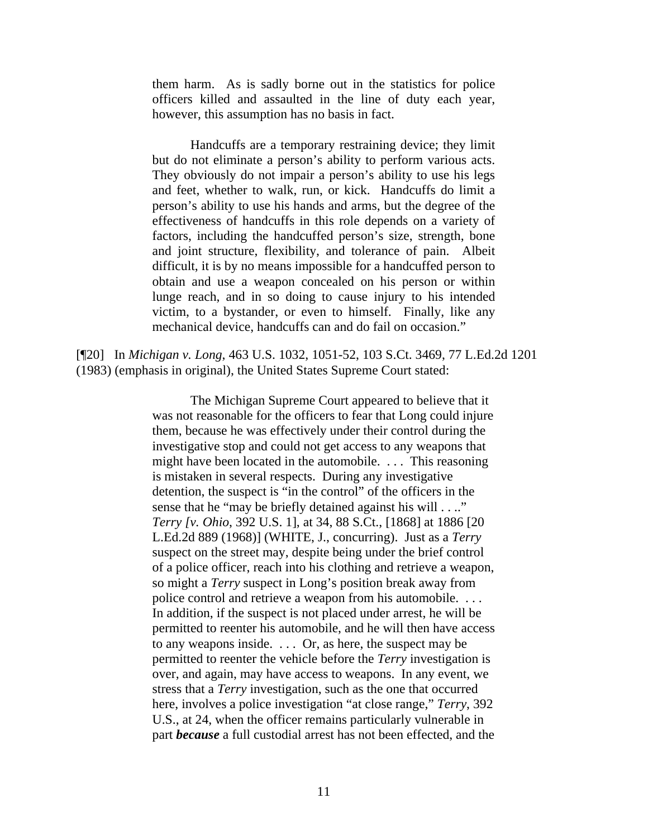them harm. As is sadly borne out in the statistics for police officers killed and assaulted in the line of duty each year, however, this assumption has no basis in fact.

Handcuffs are a temporary restraining device; they limit but do not eliminate a person's ability to perform various acts. They obviously do not impair a person's ability to use his legs and feet, whether to walk, run, or kick. Handcuffs do limit a person's ability to use his hands and arms, but the degree of the effectiveness of handcuffs in this role depends on a variety of factors, including the handcuffed person's size, strength, bone and joint structure, flexibility, and tolerance of pain. Albeit difficult, it is by no means impossible for a handcuffed person to obtain and use a weapon concealed on his person or within lunge reach, and in so doing to cause injury to his intended victim, to a bystander, or even to himself. Finally, like any mechanical device, handcuffs can and do fail on occasion."

[¶20] In *Michigan v. Long*, 463 U.S. 1032, 1051-52, 103 S.Ct. 3469, 77 L.Ed.2d 1201 (1983) (emphasis in original), the United States Supreme Court stated:

> The Michigan Supreme Court appeared to believe that it was not reasonable for the officers to fear that Long could injure them, because he was effectively under their control during the investigative stop and could not get access to any weapons that might have been located in the automobile. . . . This reasoning is mistaken in several respects. During any investigative detention, the suspect is "in the control" of the officers in the sense that he "may be briefly detained against his will . . .." *Terry [v. Ohio*, 392 U.S. 1], at 34, 88 S.Ct., [1868] at 1886 [20 L.Ed.2d 889 (1968)] (WHITE, J., concurring). Just as a *Terry* suspect on the street may, despite being under the brief control of a police officer, reach into his clothing and retrieve a weapon, so might a *Terry* suspect in Long's position break away from police control and retrieve a weapon from his automobile. . . . In addition, if the suspect is not placed under arrest, he will be permitted to reenter his automobile, and he will then have access to any weapons inside. . . . Or, as here, the suspect may be permitted to reenter the vehicle before the *Terry* investigation is over, and again, may have access to weapons. In any event, we stress that a *Terry* investigation, such as the one that occurred here, involves a police investigation "at close range," *Terry*, 392 U.S., at 24, when the officer remains particularly vulnerable in part *because* a full custodial arrest has not been effected, and the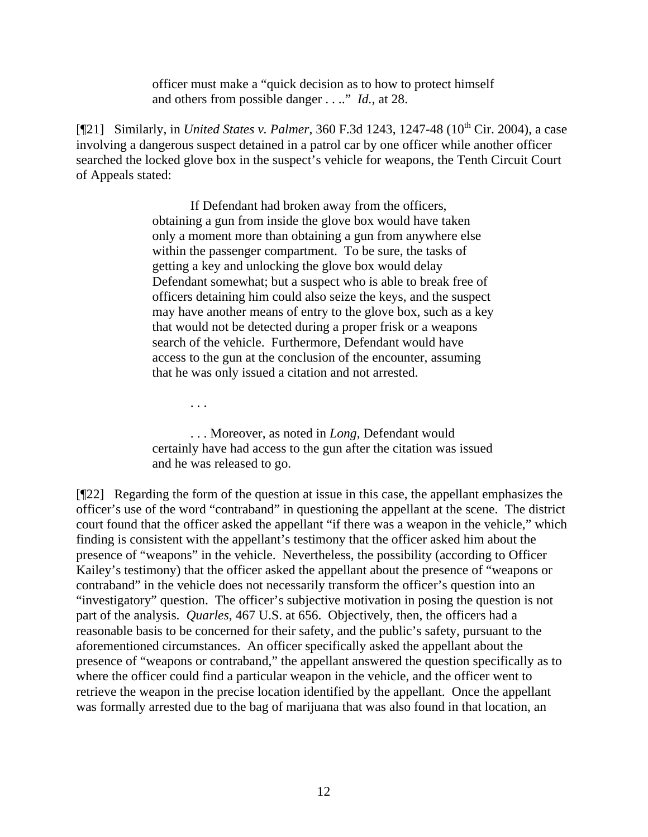officer must make a "quick decision as to how to protect himself and others from possible danger . . .." *Id.*, at 28.

[¶21] Similarly, in *United States v. Palmer*, 360 F.3d 1243, 1247-48 (10<sup>th</sup> Cir. 2004), a case involving a dangerous suspect detained in a patrol car by one officer while another officer searched the locked glove box in the suspect's vehicle for weapons, the Tenth Circuit Court of Appeals stated:

> If Defendant had broken away from the officers, obtaining a gun from inside the glove box would have taken only a moment more than obtaining a gun from anywhere else within the passenger compartment. To be sure, the tasks of getting a key and unlocking the glove box would delay Defendant somewhat; but a suspect who is able to break free of officers detaining him could also seize the keys, and the suspect may have another means of entry to the glove box, such as a key that would not be detected during a proper frisk or a weapons search of the vehicle. Furthermore, Defendant would have access to the gun at the conclusion of the encounter, assuming that he was only issued a citation and not arrested.

. . .

. . . Moreover, as noted in *Long*, Defendant would certainly have had access to the gun after the citation was issued and he was released to go.

[¶22] Regarding the form of the question at issue in this case, the appellant emphasizes the officer's use of the word "contraband" in questioning the appellant at the scene. The district court found that the officer asked the appellant "if there was a weapon in the vehicle," which finding is consistent with the appellant's testimony that the officer asked him about the presence of "weapons" in the vehicle. Nevertheless, the possibility (according to Officer Kailey's testimony) that the officer asked the appellant about the presence of "weapons or contraband" in the vehicle does not necessarily transform the officer's question into an "investigatory" question. The officer's subjective motivation in posing the question is not part of the analysis. *Quarles*, 467 U.S. at 656. Objectively, then, the officers had a reasonable basis to be concerned for their safety, and the public's safety, pursuant to the aforementioned circumstances. An officer specifically asked the appellant about the presence of "weapons or contraband," the appellant answered the question specifically as to where the officer could find a particular weapon in the vehicle, and the officer went to retrieve the weapon in the precise location identified by the appellant. Once the appellant was formally arrested due to the bag of marijuana that was also found in that location, an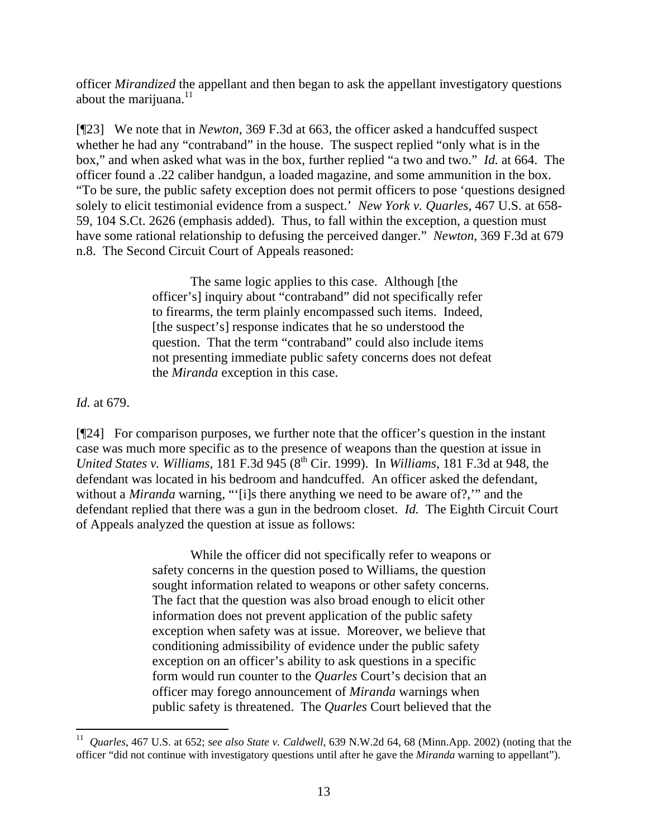officer *Mirandized* the appellant and then began to ask the appellant investigatory questions about the marijuana. $11$ 

[¶23] We note that in *Newton*, 369 F.3d at 663, the officer asked a handcuffed suspect whether he had any "contraband" in the house. The suspect replied "only what is in the box," and when asked what was in the box, further replied "a two and two." *Id.* at 664. The officer found a .22 caliber handgun, a loaded magazine, and some ammunition in the box. "To be sure, the public safety exception does not permit officers to pose 'questions designed solely to elicit testimonial evidence from a suspect.' *New York v. Quarles*, 467 U.S. at 658- 59, 104 S.Ct. 2626 (emphasis added). Thus, to fall within the exception, a question must have some rational relationship to defusing the perceived danger." *Newton*, 369 F.3d at 679 n.8. The Second Circuit Court of Appeals reasoned:

> The same logic applies to this case. Although [the officer's] inquiry about "contraband" did not specifically refer to firearms, the term plainly encompassed such items. Indeed, [the suspect's] response indicates that he so understood the question. That the term "contraband" could also include items not presenting immediate public safety concerns does not defeat the *Miranda* exception in this case.

*Id.* at 679.

[¶24] For comparison purposes, we further note that the officer's question in the instant case was much more specific as to the presence of weapons than the question at issue in *United States v. Williams*, 181 F.3d 945 (8<sup>th</sup> Cir. 1999). In *Williams*, 181 F.3d at 948, the defendant was located in his bedroom and handcuffed. An officer asked the defendant, without a *Miranda* warning, "'[i]s there anything we need to be aware of?," and the defendant replied that there was a gun in the bedroom closet. *Id.* The Eighth Circuit Court of Appeals analyzed the question at issue as follows:

> While the officer did not specifically refer to weapons or safety concerns in the question posed to Williams, the question sought information related to weapons or other safety concerns. The fact that the question was also broad enough to elicit other information does not prevent application of the public safety exception when safety was at issue. Moreover, we believe that conditioning admissibility of evidence under the public safety exception on an officer's ability to ask questions in a specific form would run counter to the *Quarles* Court's decision that an officer may forego announcement of *Miranda* warnings when public safety is threatened. The *Quarles* Court believed that the

 11 *Quarles*, 467 U.S. at 652; s*ee also State v. Caldwell*, 639 N.W.2d 64, 68 (Minn.App. 2002) (noting that the officer "did not continue with investigatory questions until after he gave the *Miranda* warning to appellant").